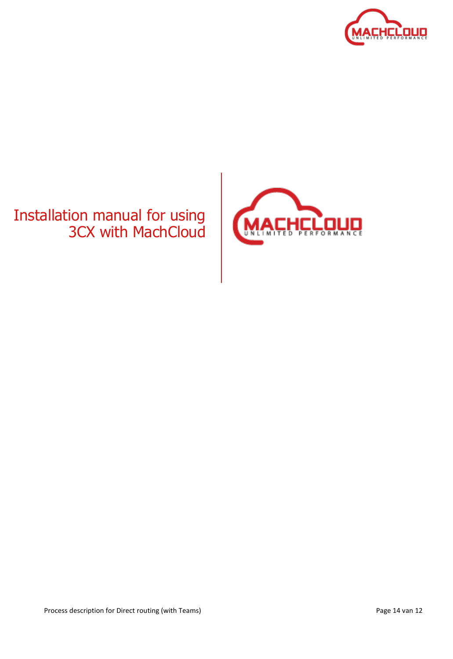

# Installation manual for using 3CX with MachCloud

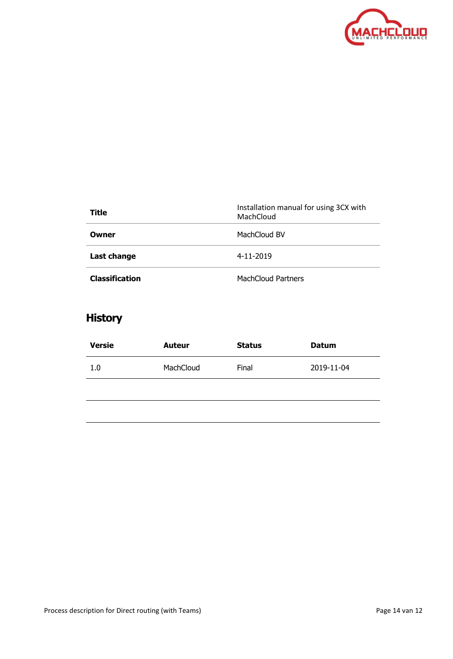

| Title                 | Installation manual for using 3CX with<br>MachCloud |
|-----------------------|-----------------------------------------------------|
| Owner                 | MachCloud BV                                        |
| Last change           | 4-11-2019                                           |
| <b>Classification</b> | <b>MachCloud Partners</b>                           |

# **History**

| <b>Versie</b> | <b>Auteur</b> | <b>Status</b> | <b>Datum</b> |
|---------------|---------------|---------------|--------------|
| 1.0           | MachCloud     | Final         | 2019-11-04   |
|               |               |               |              |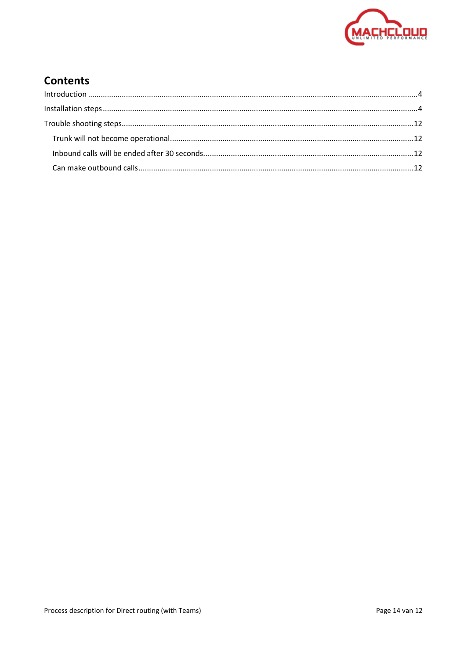

# **Contents**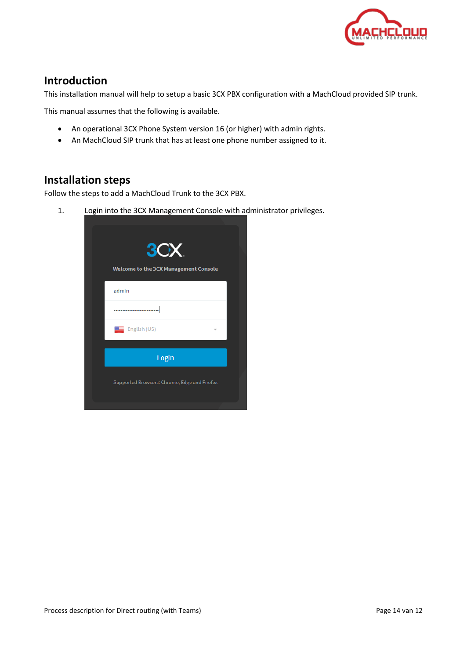

### <span id="page-3-0"></span>**Introduction**

This installation manual will help to setup a basic 3CX PBX configuration with a MachCloud provided SIP trunk.

This manual assumes that the following is available.

- An operational 3CX Phone System version 16 (or higher) with admin rights.
- An MachCloud SIP trunk that has at least one phone number assigned to it.

### <span id="page-3-1"></span>**Installation steps**

Follow the steps to add a MachCloud Trunk to the 3CX PBX.

1. Login into the 3CX Management Console with administrator privileges.

| 3CX<br><b>Welcome to the 3CX Management Console</b> |  |
|-----------------------------------------------------|--|
| admin                                               |  |
|                                                     |  |
| English (US)                                        |  |
| Login                                               |  |
| Supported Browsers: Chrome, Edge and Firefox        |  |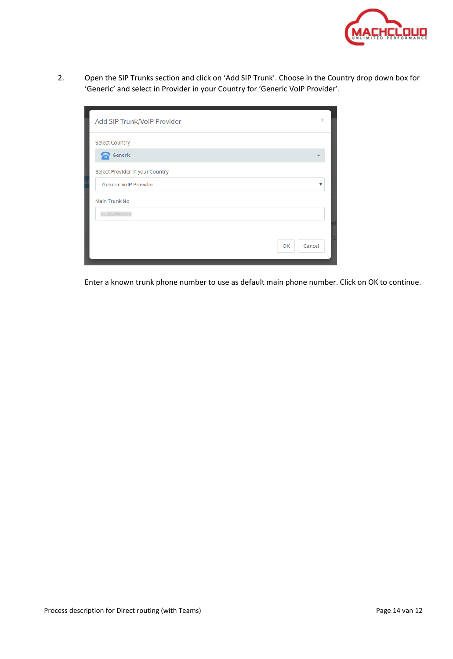

2. Open the SIP Trunks section and click on 'Add SIP Trunk'. Choose in the Country drop down box for 'Generic' and select in Provider in your Country for 'Generic VoIP Provider'.

| Add SIP Trunk/VoIP Provider     | ×            |
|---------------------------------|--------------|
| <b>Select Country</b>           |              |
| Generic                         |              |
| Select Provider in your Country |              |
| Generic VoIP Provider           | v            |
| Main Trunk No                   |              |
|                                 |              |
|                                 |              |
|                                 | Cancel<br>OK |

Enter a known trunk phone number to use as default main phone number. Click on OK to continue.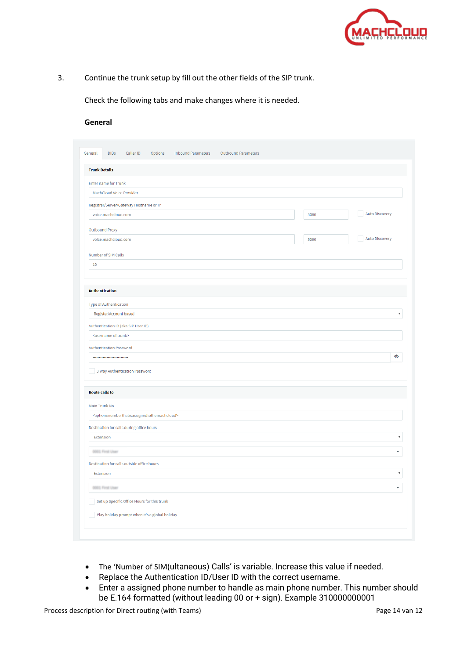

3. Continue the trunk setup by fill out the other fields of the SIP trunk.

Check the following tabs and make changes where it is needed.

#### **General**

| <b>Trunk Details</b>                                                                  |      |                        |
|---------------------------------------------------------------------------------------|------|------------------------|
|                                                                                       |      |                        |
| <b>Enter name for Trunk</b>                                                           |      |                        |
| MachCloud Voice Provider                                                              |      |                        |
| Registrar/Server/Gateway Hostname or IP                                               |      |                        |
| voice.machcloud.com                                                                   | 5060 | <b>Auto Discovery</b>  |
| Outbound Proxy                                                                        |      |                        |
| voice.machcloud.com                                                                   | 5060 | <b>Auto Discovery</b>  |
| Number of SIM Calls                                                                   |      |                        |
| 10                                                                                    |      |                        |
|                                                                                       |      |                        |
|                                                                                       |      |                        |
| <b>Authentication</b>                                                                 |      |                        |
| Type of Authentication                                                                |      |                        |
| Register/Account based                                                                |      | $\overline{\mathbf v}$ |
| Authentication ID (aka SIP User ID)                                                   |      |                        |
| <username of="" trunk=""></username>                                                  |      |                        |
| Authentication Password                                                               |      |                        |
|                                                                                       |      | $\bullet$              |
| 3 Way Authentication Password                                                         |      |                        |
|                                                                                       |      |                        |
| <b>Route calls to</b>                                                                 |      |                        |
| Main Trunk No                                                                         |      |                        |
| <aphonenumberthatisassignedtothemachcloud></aphonenumberthatisassignedtothemachcloud> |      |                        |
|                                                                                       |      |                        |
| Destination for calls during office hours<br>Extension                                |      |                        |
|                                                                                       |      |                        |
| 0001 First User                                                                       |      |                        |
| Destination for calls outside office hours                                            |      |                        |
| Extension                                                                             |      | $\overline{\mathbf v}$ |
| 0001 First User                                                                       |      | v                      |
| Set up Specific Office Hours for this trunk                                           |      |                        |
|                                                                                       |      |                        |

- The 'Number of SIM(ultaneous) Calls' is variable. Increase this value if needed.
- Replace the Authentication ID/User ID with the correct username.
- Enter a assigned phone number to handle as main phone number. This number should be E.164 formatted (without leading 00 or + sign). Example 310000000001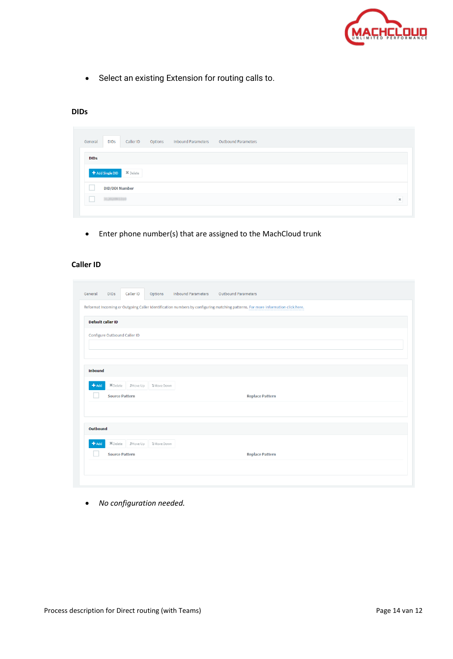

• Select an existing Extension for routing calls to.

#### **DIDs**

| General     | <b>DIDs</b>           | Caller ID                                    | Options | <b>Inbound Parameters</b> | Outbound Parameters |
|-------------|-----------------------|----------------------------------------------|---------|---------------------------|---------------------|
| <b>DIDS</b> |                       |                                              |         |                           |                     |
|             |                       | <b>+ Add Single DID</b> <sup>36</sup> Delete |         |                           |                     |
|             | <b>DID/DDI Number</b> |                                              |         |                           |                     |
|             | 31202093310           |                                              |         |                           | $\,$ $\,$           |

• Enter phone number(s) that are assigned to the MachCloud trunk

#### **Caller ID**

| Caller ID<br>General<br><b>DIDS</b>            | <b>Inbound Parameters</b><br>Options | <b>Outbound Parameters</b>                                                                                                     |
|------------------------------------------------|--------------------------------------|--------------------------------------------------------------------------------------------------------------------------------|
|                                                |                                      | Reformat Incoming or Outgoing Caller Identification numbers by configuring matching patterns. For more information click here. |
| <b>Default caller ID</b>                       |                                      |                                                                                                                                |
| Configure Outbound Caller ID                   |                                      |                                                                                                                                |
|                                                |                                      |                                                                                                                                |
|                                                |                                      |                                                                                                                                |
| <b>Inbound</b>                                 |                                      |                                                                                                                                |
| <b>X</b> Delete<br><b>JMove Up</b><br>$+$ Add  | <b>1</b> Move Down                   |                                                                                                                                |
| <b>Source Pattern</b>                          |                                      | <b>Replace Pattern</b>                                                                                                         |
|                                                |                                      |                                                                                                                                |
| Outbound                                       |                                      |                                                                                                                                |
| <b>X</b> Delete __ <i>f</i> Move Up<br>$+$ Add | <b>J</b> Move Down                   |                                                                                                                                |
| <b>Source Pattern</b>                          |                                      | <b>Replace Pattern</b>                                                                                                         |
|                                                |                                      |                                                                                                                                |
|                                                |                                      |                                                                                                                                |

• *No configuration needed.*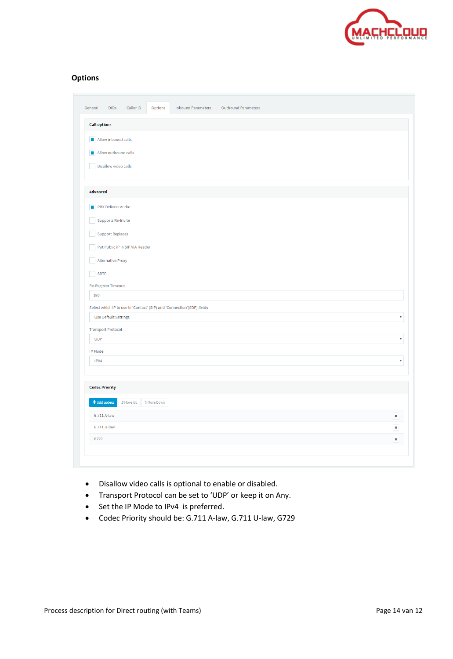

#### **Options**

| General<br><b>DIDs</b>      | Caller ID<br>Options<br><b>Inbound Parameters</b><br><b>Outbound Parameters</b> |                           |
|-----------------------------|---------------------------------------------------------------------------------|---------------------------|
| <b>Call options</b>         |                                                                                 |                           |
| Allow inbound calls         |                                                                                 |                           |
| Allow outbound calls        |                                                                                 |                           |
| Disallow video calls        |                                                                                 |                           |
|                             |                                                                                 |                           |
| <b>Advanced</b>             |                                                                                 |                           |
| PBX Delivers Audio          |                                                                                 |                           |
| Supports Re-Invite          |                                                                                 |                           |
| <b>Support Replaces</b>     |                                                                                 |                           |
|                             | Put Public IP in SIP VIA Header                                                 |                           |
| <b>Alternative Proxy</b>    |                                                                                 |                           |
| <b>SRTP</b>                 |                                                                                 |                           |
| e i                         |                                                                                 |                           |
| Re-Register Timeout<br>180  |                                                                                 |                           |
|                             | Select which IP to use in 'Contact' (SIP) and 'Connection'(SDP) fields          |                           |
| <b>Use Default Settings</b> |                                                                                 | $\boldsymbol{\mathrm{v}}$ |
| <b>Transport Protocol</b>   |                                                                                 |                           |
| <b>UDP</b>                  |                                                                                 | $\boldsymbol{\mathrm{v}}$ |
| IP Mode                     |                                                                                 |                           |
| IPV4                        |                                                                                 | $\boldsymbol{\mathrm{v}}$ |
| <b>Codec Priority</b>       |                                                                                 |                           |
| + Add codecs                | ₫ Move Up<br><b>J</b> Move Down                                                 |                           |
| G.711 A-law                 |                                                                                 | $\pmb{\times}$            |
| G.711 U-law                 |                                                                                 | $\pmb{\times}$            |
| G729                        |                                                                                 | $\pmb{\times}$            |
|                             |                                                                                 |                           |

- Disallow video calls is optional to enable or disabled.
- Transport Protocol can be set to 'UDP' or keep it on Any.
- Set the IP Mode to IPv4 is preferred.
- Codec Priority should be: G.711 A-law, G.711 U-law, G729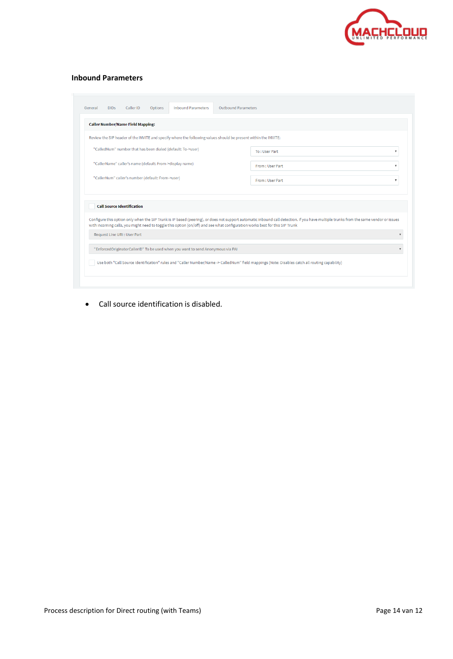

#### **Inbound Parameters**

|                                                   | <b>Caller Number/Name Field Mapping:</b>                    |  |                                                                                                                 |                                                                                                                                                                                       |  |
|---------------------------------------------------|-------------------------------------------------------------|--|-----------------------------------------------------------------------------------------------------------------|---------------------------------------------------------------------------------------------------------------------------------------------------------------------------------------|--|
|                                                   |                                                             |  | Review the SIP header of the INVITE and specify where the following values should be present within the INVITE: |                                                                                                                                                                                       |  |
|                                                   | "CalledNum" number that has been dialed (default: To->user) |  |                                                                                                                 | To: User Part                                                                                                                                                                         |  |
|                                                   | "CallerName" caller's name (default: From->display name)    |  |                                                                                                                 | From: User Part                                                                                                                                                                       |  |
| "CallerNum" caller's number (default: From->user) |                                                             |  |                                                                                                                 | From: User Part                                                                                                                                                                       |  |
|                                                   | <b>Call Source Identification</b>                           |  |                                                                                                                 |                                                                                                                                                                                       |  |
|                                                   |                                                             |  |                                                                                                                 | Configure this option only when the SIP Trunk is IP based (peering), or does not support automatic inbound call detection. If you have multiple trunks from the same vendor or issues |  |
|                                                   | Request Line URI : User Part                                |  |                                                                                                                 | with incoming calls, you might need to toggle this option (on/off) and see what configuration works best for this SIP Trunk                                                           |  |
|                                                   |                                                             |  | "EnforcedOriginatorCallerID" To be used when you want to send Anonymous via PAI                                 |                                                                                                                                                                                       |  |

• Call source identification is disabled.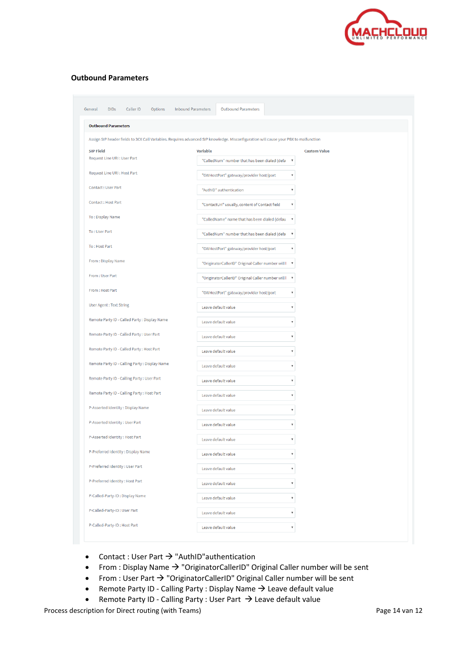

#### **Outbound Parameters**

| <b>Outbound Parameters</b>                     |                                                                                                                                      |  |
|------------------------------------------------|--------------------------------------------------------------------------------------------------------------------------------------|--|
|                                                | Assign SIP header fields to 3CX Call Variables. Requires advanced SIP knowledge. Misconfiguration will cause your PBX to malfunction |  |
| <b>SIP Field</b>                               | <b>Variable</b><br><b>Custom Value</b>                                                                                               |  |
| Request Line URI : User Part                   | "CalledNum" number that has been dialed (defa<br>$\boldsymbol{\mathrm{v}}$                                                           |  |
| Request Line URI : Host Part                   |                                                                                                                                      |  |
|                                                | "GWHostPort" gateway/provider host/port<br>$\overline{\mathbf v}$                                                                    |  |
| Contact: User Part                             | $\overline{\mathbf v}$<br>"AuthID" authentication                                                                                    |  |
| Contact: Host Part                             | "ContactUri" usually, content of Contact field<br>۳                                                                                  |  |
| To: Display Name                               | "CalledName" name that has been dialed (defau<br>$\boldsymbol{\mathrm{v}}$                                                           |  |
| To: User Part                                  | "CalledNum" number that has been dialed (defa<br>$\boldsymbol{\mathrm{v}}$                                                           |  |
| To: Host Part                                  | "GWHostPort" gateway/provider host/port                                                                                              |  |
| From: Display Name                             | "OriginatorCallerID" Original Caller number will I<br>$\boldsymbol{\mathrm{v}}$                                                      |  |
| From: User Part                                | "OriginatorCallerID" Original Caller number will I<br>$\boldsymbol{\mathrm{v}}$                                                      |  |
| From: Host Part                                | "GWHostPort" gateway/provider host/port<br>$\boldsymbol{\mathrm{v}}$                                                                 |  |
| <b>User Agent: Text String</b>                 | Leave default value<br>$\overline{\mathbf{v}}$                                                                                       |  |
| Remote Party ID - Called Party : Display Name  | Leave default value<br>۳                                                                                                             |  |
| Remote Party ID - Called Party : User Part     | Leave default value<br>7                                                                                                             |  |
| Remote Party ID - Called Party : Host Part     | Leave default value<br>۷                                                                                                             |  |
| Remote Party ID - Calling Party : Display Name | Leave default value<br>$\overline{\mathbf{v}}$                                                                                       |  |
| Remote Party ID - Calling Party : User Part    |                                                                                                                                      |  |
|                                                | Leave default value<br>▼                                                                                                             |  |
| Remote Party ID - Calling Party: Host Part     | Leave default value<br>$\overline{\mathbf{v}}$                                                                                       |  |
| P-Asserted Identity: Display Name              | Leave default value<br>۳                                                                                                             |  |
| P-Asserted Identity: User Part                 | Leave default value<br>۳                                                                                                             |  |
| P-Asserted Identity: Host Part                 | Leave default value                                                                                                                  |  |
| P-Preferred Identity: Display Name             | Leave default value<br>$\overline{\mathbf{v}}$                                                                                       |  |
| P-Preferred Identity: User Part                | Leave default value<br>▼                                                                                                             |  |
| P-Preferred Identity: Host Part                | Leave default value<br>7                                                                                                             |  |
| P-Called-Party-ID: Display Name                |                                                                                                                                      |  |
|                                                | Leave default value<br>v                                                                                                             |  |
| P-Called-Party-ID: User Part                   | Leave default value<br>$\overline{\mathbf{v}}$                                                                                       |  |

- Contact : User Part  $\rightarrow$  "AuthID" authentication
- From : Display Name → "OriginatorCallerID" Original Caller number will be sent
- From : User Part → "OriginatorCallerID" Original Caller number will be sent
- Remote Party ID Calling Party : Display Name → Leave default value
- Remote Party ID Calling Party : User Part  $\rightarrow$  Leave default value

Process description for Direct routing (with Teams) example 2 and the example of Page 14 van 12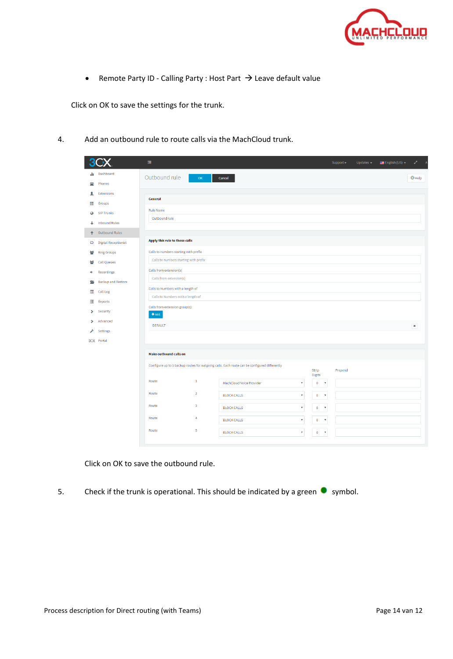

• Remote Party ID - Calling Party : Host Part → Leave default value

Click on OK to save the settings for the trunk.

4. Add an outbound rule to route calls via the MachCloud trunk.

|                  |                             | 彊                                        |                                                                                              |                                                                       | Support - | Updates $-$ | $\equiv$ English (US) $\sim$ | z.<br>$\overline{A}$ |
|------------------|-----------------------------|------------------------------------------|----------------------------------------------------------------------------------------------|-----------------------------------------------------------------------|-----------|-------------|------------------------------|----------------------|
| du.              | Dashboard                   | Outbound rule<br>OK                      | Cancel                                                                                       |                                                                       |           |             |                              | <b>O</b> Help        |
| 2                | Phones                      |                                          |                                                                                              |                                                                       |           |             |                              |                      |
| ┸                | Extensions                  |                                          |                                                                                              |                                                                       |           |             |                              |                      |
| ₩                | Groups                      | General                                  |                                                                                              |                                                                       |           |             |                              |                      |
| $\bullet$        | <b>SIP Trunks</b>           | <b>Rule Name</b>                         |                                                                                              |                                                                       |           |             |                              |                      |
| ┹                | <b>Inbound Rules</b>        | Outbound rule                            |                                                                                              |                                                                       |           |             |                              |                      |
| ↟                | Outbound Rules              |                                          |                                                                                              |                                                                       |           |             |                              |                      |
| $\mathbf \Omega$ | <b>Digital Receptionist</b> | Apply this rule to these calls           |                                                                                              |                                                                       |           |             |                              |                      |
| 삼                | <b>Ring Groups</b>          | Calls to numbers starting with prefix    |                                                                                              |                                                                       |           |             |                              |                      |
| 쯉                | <b>Call Queues</b>          | Calls to numbers starting with prefix    |                                                                                              |                                                                       |           |             |                              |                      |
| ×,               | Recordings                  | Calls from extension(s)                  |                                                                                              |                                                                       |           |             |                              |                      |
| e                | <b>Backup and Restore</b>   | Calls from extension(s)                  |                                                                                              |                                                                       |           |             |                              |                      |
| 目                | Call Log                    | Calls to Numbers with a length of        |                                                                                              |                                                                       |           |             |                              |                      |
| E                | Reports                     | Calls to Numbers with a length of        |                                                                                              |                                                                       |           |             |                              |                      |
| ⋟                | Security                    | Calls from extension group(s)<br>$#$ Add |                                                                                              |                                                                       |           |             |                              |                      |
| >                | Advanced                    | <b>DEFAULT</b>                           |                                                                                              |                                                                       |           |             |                              | ×                    |
|                  | <b>Settings</b>             |                                          |                                                                                              |                                                                       |           |             |                              |                      |
|                  | 3CX Portal                  |                                          |                                                                                              |                                                                       |           |             |                              |                      |
|                  |                             | <b>Make outbound calls on</b>            |                                                                                              |                                                                       |           |             |                              |                      |
|                  |                             |                                          | Configure up to 5 backup routes for outgoing calls. Each route can be configured differently |                                                                       |           |             |                              |                      |
|                  |                             |                                          |                                                                                              | Strip<br><b>Digits</b>                                                | Prepend   |             |                              |                      |
|                  |                             | Route<br>$\mathbf{1}$                    | MachCloud Voice Provider                                                                     | $\pmb{0}$<br>$\boldsymbol{\mathrm{v}}$<br>$\boldsymbol{\mathrm{v}}$   |           |             |                              |                      |
|                  |                             | $\overline{\mathbf{2}}$<br>Route         | <b>BLOCK CALLS</b>                                                                           | $\boldsymbol{\mathrm{v}}$<br>$\bullet$<br>$\;$ $\;$                   |           |             |                              |                      |
|                  |                             | $\overline{\mathbf{3}}$<br>Route         | <b>BLOCK CALLS</b>                                                                           | $\boldsymbol{\mathrm{v}}$<br>$\mathbf 0$<br>$\boldsymbol{\mathrm{v}}$ |           |             |                              |                      |
|                  |                             | Route<br>4                               | <b>BLOCK CALLS</b>                                                                           | $\mathbf 0$<br>$\boldsymbol{\mathrm{v}}$<br>$\boldsymbol{\mathrm{v}}$ |           |             |                              |                      |
|                  |                             | 5<br>Route                               | <b>BLOCK CALLS</b>                                                                           | $\pmb{0}$<br>$\boldsymbol{\mathrm{v}}$<br>$\boldsymbol{\mathrm{v}}$   |           |             |                              |                      |
|                  |                             |                                          |                                                                                              |                                                                       |           |             |                              |                      |

Click on OK to save the outbound rule.

5. Check if the trunk is operational. This should be indicated by a green  $\bullet$  symbol.